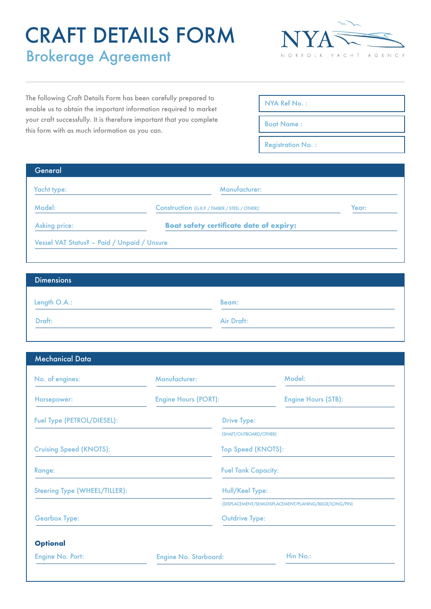# CRAFT DETAILS FORM Brokerage Agreement



The following Craft Details Form has been carefully prepared to enable us to obtain the important information required to market your craft successfully. It is therefore important that you complete this form with as much information as you can.

| NYA Ref No.: |  |  |
|--------------|--|--|
|              |  |  |

Boat Name :

Registration No. :

| General                                     |                                                        |       |  |
|---------------------------------------------|--------------------------------------------------------|-------|--|
| Yacht type:                                 | Manufacturer:                                          |       |  |
| Model:                                      | <b>Construction (G.R.P. / TIMBER / STEEL / OTHER):</b> | Year: |  |
| <b>Asking price:</b>                        | <b>Boat safety certificate date of expiry:</b>         |       |  |
| Vessel VAT Status? - Paid / Unpaid / Unsure |                                                        |       |  |

| <b>Dimensions</b> |            |  |
|-------------------|------------|--|
| Length O.A.:      | Beam:      |  |
|                   |            |  |
| Draft:            | Air Draft: |  |

| <b>Mechanical Data</b> |  |
|------------------------|--|
|                        |  |

| No. of engines:                | Manufacturer:                | Model:                                                  |
|--------------------------------|------------------------------|---------------------------------------------------------|
| Horsepower:                    | <b>Engine Hours (PORT):</b>  | <b>Engine Hours (STB):</b>                              |
| Fuel Type (PETROL/DIESEL):     | <b>Drive Type:</b>           |                                                         |
|                                |                              | (SHAFT/OUTBOARD/OTHER)                                  |
| <b>Cruising Speed (KNOTS):</b> |                              | Top Speed (KNOTS):                                      |
| Range:                         |                              | <b>Fuel Tank Capacity:</b>                              |
| Steering Type (WHEEL/TILLER):  |                              | Hull/Keel Type:                                         |
|                                |                              | (DISPLACEMENT/SEMI-DISPLACEMENT/PLANING/BILGE/LONG/FIN) |
| <b>Gearbox Type:</b>           |                              | <b>Outdrive Type:</b>                                   |
| <b>Optional</b>                |                              |                                                         |
| Engine No. Port:               | <b>Engine No. Starboard:</b> | Hin No.:                                                |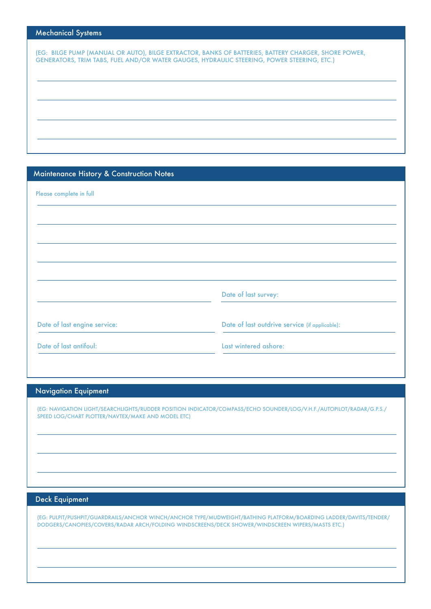## Mechanical Systems

(EG: BILGE PUMP (MANUAL OR AUTO), BILGE EXTRACTOR, BANKS OF BATTERIES, BATTERY CHARGER, SHORE POWER, GENERATORS, TRIM TABS, FUEL AND/OR WATER GAUGES, HYDRAULIC STEERING, POWER STEERING, ETC.)

# Maintenance History & Construction Notes

| Please complete in full      |                                                |
|------------------------------|------------------------------------------------|
|                              |                                                |
|                              |                                                |
|                              |                                                |
|                              |                                                |
|                              | Date of last survey:                           |
| Date of last engine service: | Date of last outdrive service (if applicable): |
| Date of last antifoul:       | Last wintered ashore:                          |

### Navigation Equipment

(EG: NAVIGATION LIGHT/SEARCHLIGHTS/RUDDER POSITION INDICATOR/COMPASS/ECHO SOUNDER/LOG/V.H.F./AUTOPILOT/RADAR/G.P.S./ SPEED LOG/CHART PLOTTER/NAVTEX/MAKE AND MODEL ETC)

### Deck Equipment

(EG: PULPIT/PUSHPIT/GUARDRAILS/ANCHOR WINCH/ANCHOR TYPE/MUDWEIGHT/BATHING PLATFORM/BOARDING LADDER/DAVITS/TENDER/ DODGERS/CANOPIES/COVERS/RADAR ARCH/FOLDING WINDSCREENS/DECK SHOWER/WINDSCREEN WIPERS/MASTS ETC.)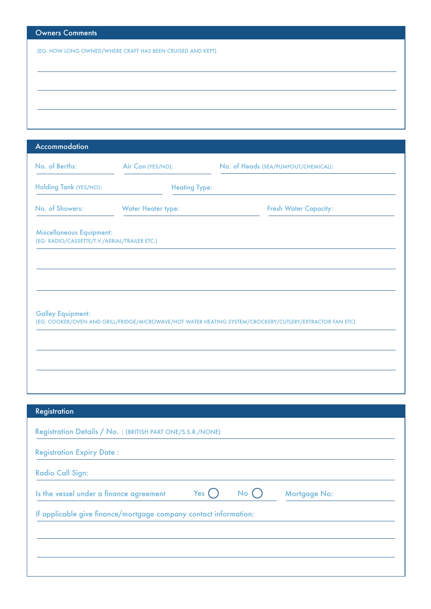| <b>Owners Comments</b>                                     |
|------------------------------------------------------------|
| (EG: HOW LONG OWNED/WHERE CRAFT HAS BEEN CRUISED AND KEPT) |
|                                                            |
|                                                            |
|                                                            |
|                                                            |
|                                                            |
|                                                            |

| Accommodation                                                                    |                           |                                                                                                          |
|----------------------------------------------------------------------------------|---------------------------|----------------------------------------------------------------------------------------------------------|
| No. of Berths:                                                                   | Air Con (YES/NO):         | No. of Heads (SEA/PUMPOUT/CHEMICAL):                                                                     |
| Holding Tank (YES/NO):                                                           | <b>Heating Type:</b>      |                                                                                                          |
| No. of Showers:                                                                  | <b>Water Heater type:</b> | <b>Fresh Water Capacity:</b>                                                                             |
| <b>Miscellaneous Equipment:</b><br>(EG: RADIO/CASSETTE/T.V./AERIAL/TRAILER ETC.) |                           |                                                                                                          |
|                                                                                  |                           |                                                                                                          |
| <b>Galley Equipment:</b>                                                         |                           | (EG: COOKER/OVEN AND GRILL/FRIDGE/MICROWAVE/HOT WATER HEATING SYSTEM/CROCKERY/CUTLERY/EXTRACTOR FAN ETC) |
|                                                                                  |                           |                                                                                                          |
|                                                                                  |                           |                                                                                                          |
|                                                                                  |                           |                                                                                                          |

| <b>Registration</b>                                              |         |     |              |
|------------------------------------------------------------------|---------|-----|--------------|
| Registration Details / No. : (BRITISH PART ONE/S.S.R./NONE)      |         |     |              |
| <b>Registration Expiry Date:</b>                                 |         |     |              |
| <b>Radio Call Sign:</b>                                          |         |     |              |
| Is the vessel under a finance agreement                          | Yes $($ | No( | Mortgage No: |
| If applicable give finance/mortgage company contact information: |         |     |              |
|                                                                  |         |     |              |
|                                                                  |         |     |              |
|                                                                  |         |     |              |